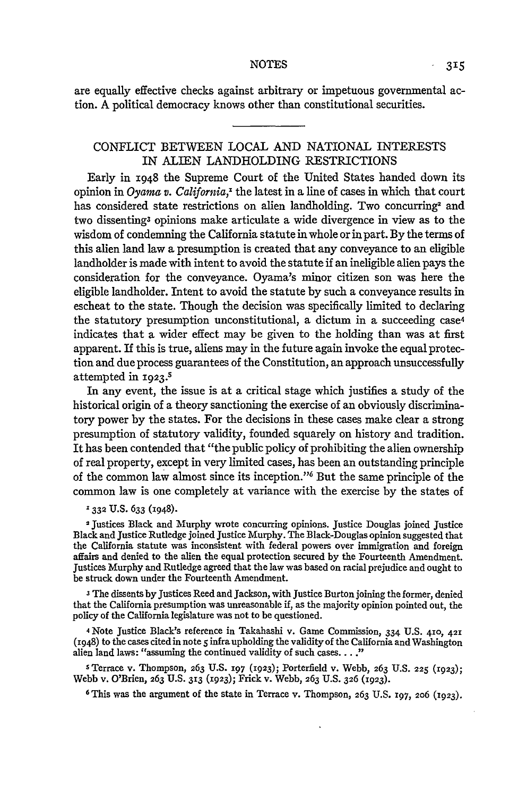are equally effective checks against arbitrary or impetuous governmental action. **A** political democracy knows other than constitutional securities.

## CONFLICT **BETWEEN LOCAL AND** NATIONAL INTERESTS **IN** ALIEN LANDHOLDING RESTRICTIONS

Early in **1948** the Supreme Court of the United States handed down its opinion in *Oyama v. California,'* the latest in a line of cases in which that court has considered state restrictions on alien landholding. Two concurring<sup>2</sup> and two dissenting3 opinions make articulate a wide divergence in view as to the wisdom of condemning the California statute in whole or in part. **By** the terms of this alien land law a presumption is created that any conveyance to an eligible landholder is made with intent to avoid the statute **if** an ineligible alien pays the consideration for the conveyance. Oyama's minor citizen son was here the eligible landholder. Intent to avoid the statute **by** such a conveyance results in escheat to the state. Though the decision was specifically limited to declaring the statutory presumption unconstitutional, a dictum in a succeeding case<sup>4</sup> indicates that a wider effect may be given to the holding than was at first apparent. If this is true, aliens may in the future again invoke the equal protection and due process guarantees of the Constitution, an approach unsuccessfully attempted in **1923.<sup>s</sup>**

In any event, the issue is at a critical stage which justifies a study of the historical origin of a theory sanctioning the exercise of an obviously discriminatory power **by** the states. For the decisions in these cases make clear a strong presumption of statutory validity, founded squarely on history and tradition. It has been contended that "the public policy of prohibiting the alien ownership of real property, except in very limited cases, has been an outstanding principle of the common law almost since its inception."<sup>6</sup> But the same principle of the common law is one completely at variance with the exercise **by** the states of

### **1332 U.S.** 633 (1948).

**2** Justices Black and Murphy wrote concurring opinions. Justice Douglas joined Justice Black and Justice Rutledge joined Justice Murphy. The Black-Douglas opinion suggested that the California statute was inconsistent with federal powers over immigration and foreign affairs and denied to the alien the equal protection secured **by** the Fourteenth Amendment. Justices Murphy and Rutledge agreed that the law was based on racial prejudice and ought to be struck down under the Fourteenth Amendment.

The dissents **by** Justices Reed and Jackson, with Justice Burton joining the former, denied that the California presumption was unreasonable **if,** as the majority opinion pointed out, the policy of the California legislature was not to be questioned.

**4** Note Justice Black's reference in Takahashi v. Game Commission, 334 **U.S. 410, 421** (1948) to the cases cited in note **5** infra upholding the validity of the California and Washington alien land laws: "assuming the continued validity of such cases **.... "**

**S** Terrace v. Thompson, **263 U.S. 197 (1923);** Porterfield v. Webb, **263 U.S. 225 (1923);** Webb v. O'Brien, **263 U.S. 313 (1923);** Frick v. Webb, *263* U.S. **326 (1923).**

**6This** was the argument of the state in Terrace v. Thompson, **263 U.S. 197, 206 (1923).**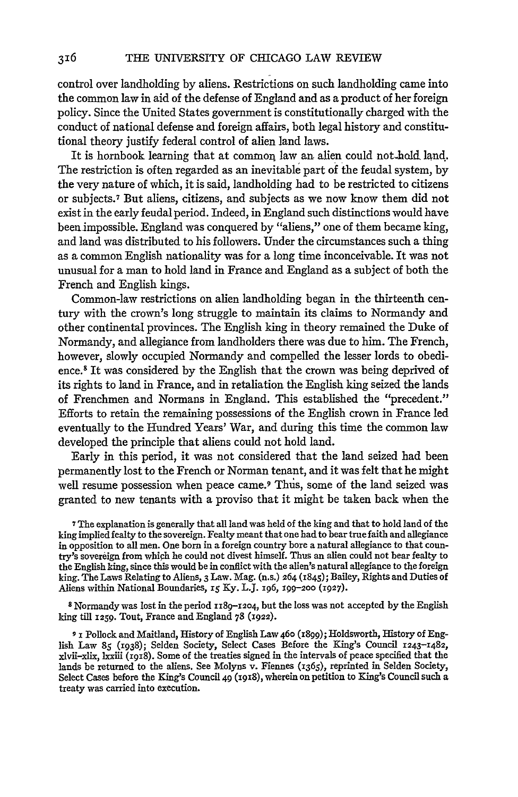control over landholding **by** aliens. Restrictions on such landholding came into the common law in aid of the defense of England and as a product of her foreign policy. Since the United States government is constitutionally charged with the conduct of national defense and foreign affairs, both legal history and constitutional theory justify federal control of alien land laws.

It is hornbook learning that at common law an alien could not-hold **land.** The restriction is often regarded as an inevitable part of the feudal system, **by** the very nature of which, it is said, landholding had to be restricted to citizens or subjects.7 But aliens, citizens, and subjects as we now know them did not exist in the early feudal period. Indeed, in England such distinctions would have been impossible. England was conquered **by** "aliens," one of them became king, and land was distributed to his followers. Under the circumstances such a thing as a common English nationality was for a long time inconceivable. It was not unusual for a man to hold land in France and England as a subject of both the French and English kings.

Common-law restrictions on alien landholding began in the thirteenth century with the crown's long struggle to maintain its claims to Normandy and other continental provinces. The English king in theory remained the Duke of Normandy, and allegiance from landholders there was due to him. The French, however, slowly occupied Normandy and compelled the lesser lords to obedience. 8 It was considered **by** the English that the crown was being deprived of its rights to land in France, and in retaliation the English king seized the lands of Frenchmen and Normans in England. This established the "precedent." Efforts to retain the remaining possessions of the English crown in France led eventually to the Hundred Years' War, and during this time the common law developed the principle that aliens could not hold land.

Early in this period, it was not considered that the land seized had been permanently lost to the French or Norman tenant, and it was felt that he might well resume possession when peace came.<sup>9</sup> Thus, some of the land seized was granted to new tenants with a proviso that it might be taken back when the

**7The** explanation is generally that all land was held of the king and that to hold land of the king implied fealty to the sovereign. Fealty meant that one had to bear true faith and allegiance in opposition to all men. One born in a foreign country bore a natural allegiance to that coun- try's sovereign from **which** he could not divest himself. Thus an alien could not bear fealty to the English king, since this would be in conflict with the alien's natural allegiance to the foreign king. The Laws Relating to Aliens, **3** Law. Mag. (n.s.) **264 (1845);** Bailey, Rights and Duties of Aliens within National Boundaries, *15* **Ky.** L.J. 196, **199-200 (1927).**

<sup>8</sup> Normandy was lost in the period **II89-12o4,** but the loss was not accepted **by** the English **king** till **1259.** Tout, France and England **78 (1922).**

**9** 1 Pollock and Maitland, History of English Law **46o (i899);** Holdsworth, History of English Law *85* **(i938);** Selden Society, Select Cases Before the King's Council **1243-1482,** xlvii-xlix, **lxxiii** (1918). Some of the treaties signed in the intervals of peace specified that the lands be returned to the aliens. See Molyns v. Fiennes (1365), reprinted in Selden Society, Select Cases before the King's Council 49 (1918), wherein on petition to King's Council such a treaty was carried into execution.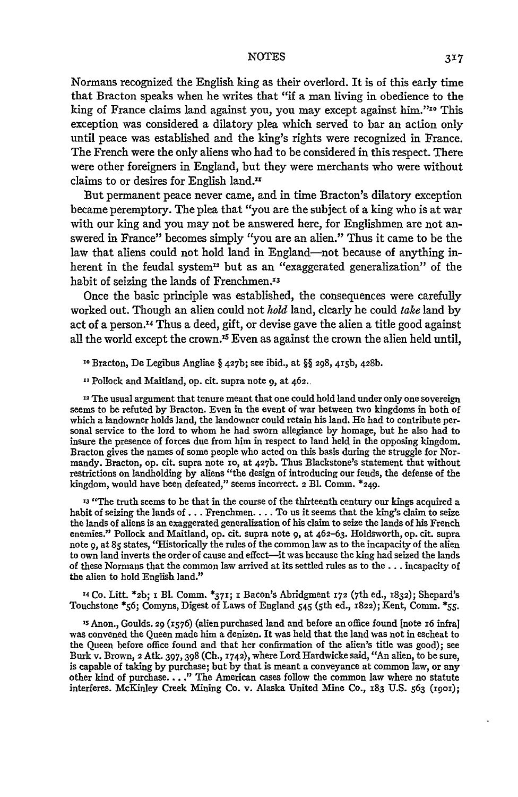Normans recognized the English king as their overlord. It is of this early time that Bracton speaks when he writes that "if a man living in obedience to the king of France claims land against you, you may except against him."<sup>10</sup> This exception was considered a dilatory plea which served to bar an action only until peace was established and the king's rights were recognized in France. The French were the only aliens who had to be considered in this respect. There were other foreigners in England, but they were merchants who were without claims to or desires for English land."

But permanent peace never came, and in time Bracton's dilatory exception became peremptory. The plea that "you are the subject of a king who is at war with our king and you may not be answered here, for Englishmen are not answered in France" becomes simply "you are an alien." Thus it came to be the law that aliens could not hold land in England-not because of anything inherent in the feudal system<sup>12</sup> but as an "exaggerated generalization" of the habit of seizing the lands of Frenchmen.<sup>13</sup>

Once the basic principle was established, the consequences were carefully worked out. Though an alien could not *hold* land, clearly he could *take* land by act of a person.<sup>14</sup> Thus a deed, gift, or devise gave the alien a title good against all the world except the crown.<sup>15</sup> Even as against the crown the alien held until,

**10** Bracton, De Legibus Angliae § **427b;** see ibid., at §§ 298, 415b, **428b.**

**11** Pollock and Maitland, op. cit. supra note 9, at 462.

<sup>12</sup> The usual argument that tenure meant that one could hold land under only one sovereign seems to be refuted by Bracton. Even in the event of war between two kingdoms in both of which a landowner holds land, the landowner could retain his land. He had to contribute personal service to the lord to whom he had sworn allegiance by homage, but he also had to insure the presence of forces due from him in respect to land held in the opposing kingdom. Bracton gives the names of some people who acted on this basis during the struggle for Normandy. Bracton, op. cit. supra note io, at 427b. Thus Blackstone's statement that without restrictions on landholding by aliens "the design of introducing our feuds, the defense of the kingdom, would have been defeated," seems incorrect. **2 El.** Comm. \*249.

**'3** "The truth seems to be that in the course of the thirteenth century our kings acquired a habit of seizing the lands of **...** Frenchmen.... To us it seems that the king's claim to seize the lands of aliens is an exaggerated generalization of his claim to seize the lands of his French enemies." Pollock and Maitland, op. cit. supra note **9,** at 462-63. Holdsworth, op. cit. supra note 9, at **85** states, "Historically the rules of the common law as to the incapacity of the alien to own land inverts the order of cause and effect-it was because the king had seized the lands of these Normans that the common law arrived at its settled rules as to the **...** incapacity of the alien to hold English land."

X Co. Litt. **\*2b;** i Bl. Comm. **\*371;** 1 Bacon's Abridgment **172** (7th ed., **x832);** Shepard's Touchstone \*56; Comyns, Digest of Laws of England 545 (5th ed., **1822);** Kent, Comm. \*55.

**S** Anon., Goulds. 29 (1576) (alien purchased land and before an office found [note i6 infra] was convened the Queen made him a denizen. It was held that the land was not in escheat to the Queen before office found and that her confirmation of the alien's title was good); see Burk v. Brown, **2** Atk. 397, 398 (Ch., 1742), where Lord Hardwicke said, "An alien, to be sure, is capable of taking by purchase; but by that is meant a conveyance at common law, or any other kind of purchase. .. **."** The American cases follow the common law where no statute interferes. McKinley Creek Mining Co. v. Alaska United Mine Co., **183 U.S.** 563 (igoi);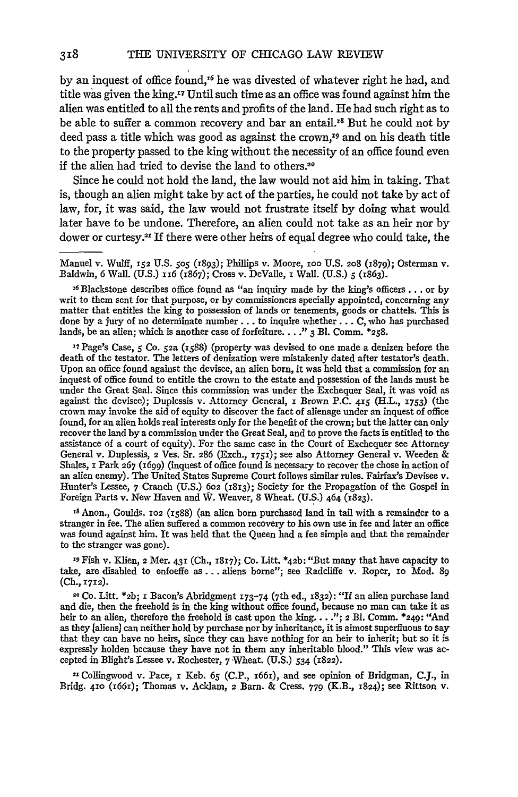by an inquest of office found,<sup>16</sup> he was divested of whatever right he had, and title was given the king.'7 Until such time as an office was found against him the alien was entitled to all the rents and profits of the land. He had such right as to be able to suffer a common recovery and bar an entail.<sup>18</sup> But he could not by deed pass a title which was good as against the crown,<sup>19</sup> and on his death title to the property passed to the king without the necessity of an office found even if the alien had tried to devise the land to others.<sup>26</sup>

Since he could not hold the land, the law would not aid him in taking. That is, though an alien might take by act of the parties, he could not take by act of law, for, it was said, the law would not frustrate itself by doing what would later have to be undone. Therefore, an alien could not take as an heir nor by dower or curtesy.<sup>21</sup> If there were other heirs of equal degree who could take, the

Manuel v. Wulff, **152** U.S. *505* (1893); Phillips v. Moore, **ioo** U.S. **208** (i879); Osterman v. Baldwin, 6 Wall. (U.S.) 1i6 (1867); Cross v. DeValle, **i** Wall. (U.S.) *5* **(x863).**

<sup>16</sup> Blackstone describes office found as "an inquiry made by the king's officers... or by writ to them sent for that purpose, or by commissioners specially appointed, concerning any matter that entitles the king to possession of lands or tenements, goods or chattels. This is done by a jury of no determinate number.., to inquire whether... C, who has purchased lands, be an alien; which is another case of forfeiture... **." 3** Bl. Comm. **\*258.**

**'7** Page's Case, *5* Co. *52a* (i588) (property was devised to one made a denizen before the death of the testator. The letters of denization were mistakenly dated after testator's death. Upon an office found against the devisee, an alien born, it was held that a commission for an inquest of office found to entitle the crown to the estate and possession of the lands must be under the Great Seal. Since this commission was under the Exchequer Seal, it was void as against the devisee); Duplessis v. Attorney General, x Brown P.C. 415 (H.L., **1753)** (the crown may invoke the aid of equity to discover the fact of alienage under an inquest of office found, for an alien holds real interests only for the benefit of the crown; but the latter can only recover the land by a commission under the Great Seal, and to prove the facts is entitled to the assistance of a court of equity). For the same case in the Court of Exchequer see Attorney General v. Duplessis, 2 Ves. Sr. 286 (Exch., **1751);** see also Attorney General v. Weeden & Shales,  $\bar{x}$  Park 267 (1699) (inquest of office found is necessary to recover the chose in action of an alien enemy). The United States Supreme Court follows similar rules. Fairfax's Devisee v.<br>Hunter's Lessee, 7 Cranch Foreign Parts v. New Haven and W. Weaver, **8** Wheat. (U.S.) 464 (1823).

 $13$  Anon., Goulds. 102 (1588) (an alien born purchased land in tail with a remainder to a stranger in fee. The alien suffered a common recovery to his own use in fee and later an office was found against him. It was held to the stranger was gone).

**9** Fish v. Klien, 2 Mer. 431 (Ch., 1817); Co. Litt. \*42b: "But many that have capacity to take, are disabled to enfoeffe as... aliens borne"; see Radcliffe v. Roper, io Mod. **89 (Ch.,** 1712).

" Co. Litt. **\*2b;** z Bacon's Abridgment **173-74** (7th ed., 1832): "If an alien purchase land and die, then the freehold is in the king without office found, because no man can take it as heir to an alien, therefore the freehold is cast upon the king. . . ."; 2 Bl. Comm. \*249: "And as they [aliens] can neither hol that they can have no heirs, since they can have nothing for an heir to inherit; but so it is expressly holden because they have not in them any inheritable blood." This view was accepted in Blight's Lessee v. Rochester, **7** Wheat. (U.S.) *534* (1822).

21 Collingwood v. Pace, **i** Keb. **65** (C.P., x66r), and see opinion of Bridgman, **CJ.,** in Bridg. **410** (i66i); Thomas v. Acklam, 2 Barn. & Cress. **779** (K.B., 1824); see Rittson v.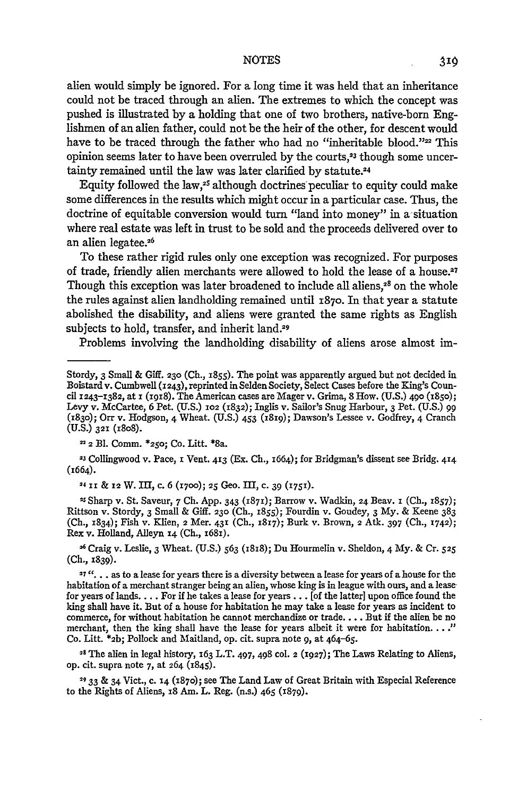alien would simply be ignored. For a long time it was held that an inheritance could not be traced through an alien. The extremes to which the concept was pushed is illustrated **by** a holding that one of two brothers, native-born Englishmen of an alien father, could not be the heir of the other, for descent would have to be traced through the father who had no "inheritable blood."22 This opinion seems later to have been overruled **by** the courts, 23 though some uncertainty remained until the law was later clarified by statute.<sup>24</sup>

Equity followed the law,25 although doctrines'peculiar to equity could make some differences in the results which might occur in a particular case. Thus, the doctrine of equitable conversion would turn "land into money" in a-situation where real estate was left in trust to be sold and the proceeds delivered over to an alien legatee.26

To these rather rigid rules only one exception was recognized. For purposes of trade, friendly alien merchants were allowed to hold the lease of a house.<sup>27</sup> Though this exception was later broadened to include all aliens, $3<sup>8</sup>$  on the whole the rules against alien landholding remained until **1870.** In that year a statute abolished the disability, and aliens were granted the same rights as English subjects to hold, transfer, and inherit land.<sup>29</sup>

Problems involving the landholding disability of aliens arose almost im-

**<sup>23</sup>**Collingwood v. Pace, **i** Vent. **413** (Ex. **Ch.,** 1664); for Bridgman's dissent see Bridg. **414** (1664).

**24 J1 & 12 W. II,** c. **6 (1700); 25** Geo. III, c. **39 (1751).**

**2s** Sharp v. St. Saveur, *7* **Ch. App.** 343 **(1871);** Barrow v. Wadkin, **24** Beav. **i (Ch.,** 1857); Rittson v. Stordy, **3** Small **&** Giff. **230 (Ch., x855);** Fourdin v. Goudey, **3 My. &** Keene **383 (Ch., 1834);** Fish v. Klien, **2** Mer. **431 (Ch., 1817);** Burk v. Brown, **2** Atk. **397 (Ch., 1742);** Rex v. Holland, Alleyn **14 (Ch., i68i).**

**<sup>26</sup>**Craig v. Leslie, **3** Wheat. **(U.S.) 563** (1SS); Du Hourmelin v. Sheldon, 4 My. **&** Cr. **525 (Ch.,** 1839).

**27 ". . .** as to a lease for years there is a diversity between a lease for years of a house for the habitation of a merchant stranger being an alien, whose king is in league with ours, and a lease for years of **lands....** For if he takes a lease for **years...** [of the latter] upon office found the king shall have it. But of a house for habitation he may take a lease for years as incident to commerce, for without habitation he cannot merchandize or trade.... But if the alien be no merchant, then the king shall have the lease for years albeit it were for habitation...." Co. Litt. **\*2b;** Pollock and Maitland, op. cit. supra note **9,** at 464-65.

**28 The** alien in legal history, **163** L.T. 497, **498 col. 2 (1927);** The Laws Relating to Aliens, **op.** cit. supra note **7,** at **264 (1845).**

**29 33 &** 34 Vict., c. **14** (1870); see The Land Law of Great Britain with Especial Reference to the Rights of Aliens, **i8** Am. L. Reg. (n.s.) 465 (1879).

Stordy, 3 Small **&** Giff. **230 (Ch.,** 1855). The point was apparently argued but not decided in Boistard v. Cumbwell **(1243),** reprinted in Selden Society Select Cases before the King's Council **1243-1382,** at **x** (i9i8). The American cases are Mager v. Grima, **8** How. **(U.S.) 49o (185o);** Levy v. McCartee, **6** Pet. **(U.S.) 102 (1832);** Inglis v. Sailor's Snug Harbour, **3** Pet. **(U.S.) 99 (1830);** Orr v. Hodgson, 4 Wheat. **(U.S.)** 453 (i8r9); Dawson's Lessee v. Godfrey, 4 Cranch **(U.S.) 321** (io8).

**<sup>2</sup> Bl.** Comm. **\*250;** Co. Litt. \*8a.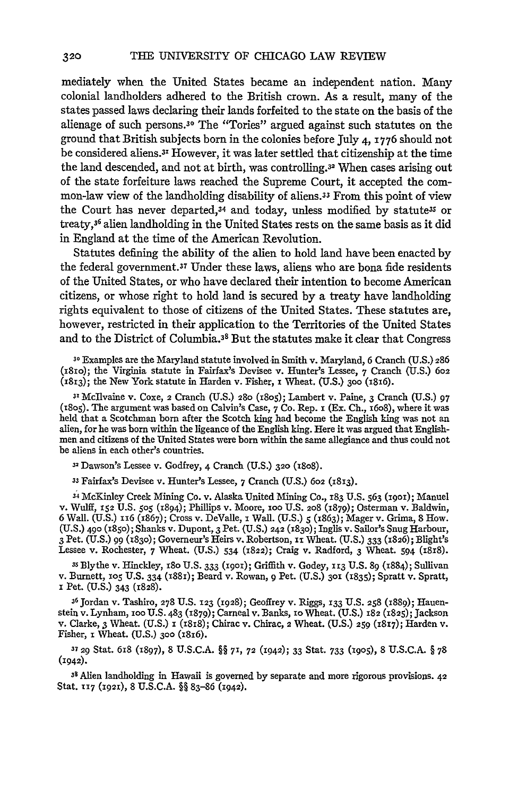mediately when the United States became an independent nation. Many colonial landholders adhered to the British crown. As a result, many of the states passed laws declaring their lands forfeited to the state on the basis of the alienage of such persons.<sup>30</sup> The "Tories" argued against such statutes on the ground that British subjects born in the colonies before July 4, 1776 should not be considered aliens.3y However, it was later settled that citizenship at the time the land descended, and not at birth, was controlling.32 When cases arising out of the state forfeiture laws reached the Supreme Court, it accepted the common-law view of the landholding disability of aliens.33 From this point of view the Court has never departed,<sup>34</sup> and today, unless modified by statute<sup>35</sup> or treaty,<sup>36</sup> alien landholding in the United States rests on the same basis as it did in England at the time of the American Revolution.

Statutes defining the ability of the alien to hold land have been enacted by the federal government. 37 Under these laws, aliens who are bona fide residents of the United States, or who have declared their intention to become American citizens, or whose right to hold land is secured by a treaty have landholding rights equivalent to those of citizens of the United States. These statutes are, however, restricted in their application to the Territories of the United States and to the District of Columbia. 35 But the statutes make it clear that Congress

**<sup>30</sup>**Examples are the Maryland statute involved in Smith v. Maryland, 6 Cranch (U.S.) 286 (iSio); the Virginia statute in Fairfax's Devisee v. Hunter's Lessee, **7** Cranch **(U.S.) 602** (1813); the New York statute in Harden v. Fisher, **i** Wheat. (U.S.) **3oo** (1816).

**<sup>31</sup>**Mcllvaine v. Coxe, 2 Cranch (U.S.) **280 (i8o5);** Lambert v. Paine, **3** Cranch (U.S.) **97** (i8o5). The argument was based on Calvin's Case, 7 Co. Rep. i (Ex. Ch., 16o8), where it was held that a Scotchman born after the Scotch king had become the English king was not an alien, for he was born within the ligeance of the English king. Here it was argued that English- men and citizens of the United States were born within the same allegiance and thus could not be aliens in each other's countries.

**32** Dawson's Lessee v. Godfrey, 4 Cranch (U.S.) **320** (18o8).

**<sup>33</sup>**Fairfax's Devisee v. Hunter's Lessee, **7** Cranch (U.S.) **602 (1813).**

**<sup>34</sup>**McKinley Creek Mining Co. v. Alaska United Mining Co., **183** U.S. 563 **(i9o);** Manuel **V.** Wulff, **152** U.S. **505** (1894); Phillips v. Moore, **1oo** U.S. **208** (1879); Osterman v. Baldwin, 6 Wall. (U.S.) "6 (x867); Cross v. DeValle, i Wall. (U.S.) **5** (2863); Mager v. Grima, 8 How. (U.S.) 490 **(1850);** Shanks v. Dupont, 3 Pet. (U.S.) 242 **(183o);** Inglis v. Sailor's Snug Harbour, 3 Pet. (U.S.) 99 **(83o);** Governeur's Heirs v. Robertson, **"i** Wheat. (U.S.) 333 **(1826);** Blight's Lessee v. Rochester, 7 Wheat. (U.S.) 534 (x822); Craig v. Radford, **3** Wheat. 594 (i818).

3s Blythe v. Hinckley, i8o U.S. **333 (i9o);** Griffith v. Godey, **113** U.S. **89** (884); Sullivan v. Burnett, **1o5** U.S. 334 **(188i);** Beard v. Rowan, 9 Pet. (U.S.) **3oi** (835); Spratt v. Spratt, i Pet. (U.S.) 343 (1828).

**36** Jordan v. Tashiro, **278** U.S. **123** (1928); Geoffrey v. Riggs, **133** U.S. **258** (1889); Hauenstein v. Lynham, **100** U.S. 483 **(1879);** Carneal v. Banks, io Wheat. (U.S.) 182 (1825); Jackson v. Clarke, 3 Wheat. (U.S.) 1 (1818); Chirac v. Chirac, 2 Wheat. (U.S.) 259 (1817); Harden v. Fisher, **i** Wheat. (U.S.) **300** (186).

**<sup>37</sup>**29 Stat. 68 (1897), 8 U.S.C.A. §§ **71, 72** (1942); 33 Stat. **733** (19o5), 8 U.S.C.A. § **<sup>78</sup>**  $(1942).$ 

**<sup>3</sup>**Alien landholding in Hawaii is governed by separate and more rigorous provisions. 42 Stat. **T17 (1921),** 8 **U.S.C.A.** §§ **83-86** (1942).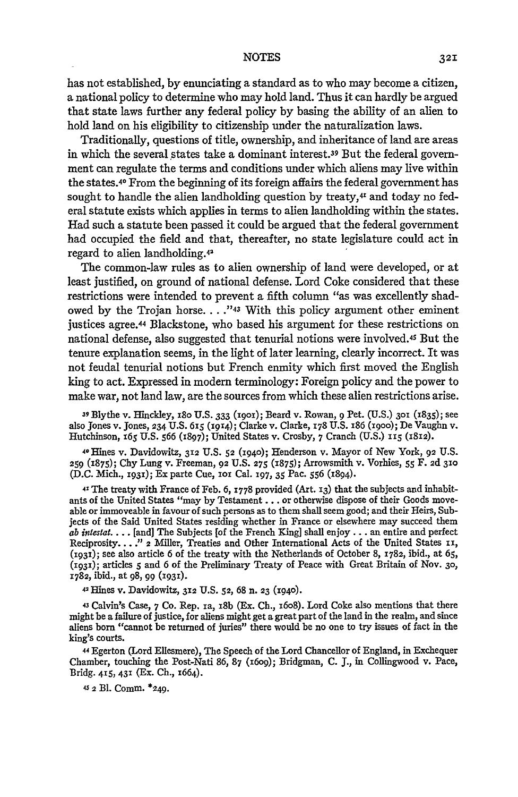has not established, by enunciating a standard as to who may become a citizen, a national policy to determine who may hold land. Thus it can hardly be argued that state laws further any federal policy by basing the ability of an alien to hold land on his eligibility to citizenship under the naturalization laws.

Traditionally, questions of title, ownership, and inheritance of land are areas in which the several states take a dominant interest.39 But the federal government can regulate the terms and conditions under which aliens may live within the states.40 From the beginning of its foreign affairs the federal government has sought to handle the alien landholding question by treaty, $44$  and today no federal statute exists which applies in terms to alien landholding within the states. Had such a statute been passed it could be argued that the federal government had occupied the field and that, thereafter, no state legislature could act in regard to alien landholding.42

The common-law rules as to alien ownership of land were developed, or at least justified, on ground of national defense. Lord Coke considered that these restrictions were intended to prevent a fifth column "as was excellently shadowed by the Trojan horse. . **... 43** With this policy argument other eminent justices agree.44 Blackstone, who based his argument for these restrictions on national defense, also suggested that tenurial notions were involved.45 But the tenure explanation seems, in the light of later learning, clearly incorrect. It was not feudal tenurial notions but French enmity which first moved the English king to act. Expressed in modem terminology: Foreign policy and the power to make war, not land law, are the sources from which these alien restrictions arise.

**<sup>39</sup>**Blythe v. Hinckley, 18o U.S. 333 (igoi); Beard v. Rowan, **9** Pet. (U.S.) **3o1** (1835); see also Jones v. Jones, **234** U.S. **65i (i914);** Clarke v. Clarke, **178** U.S. 186 (19oo); De Vaughn v. Hutchinson, *165* **U.S. 566** (x897); United States v. Crosby, **7** Cranch (U.S.) *115* (x812).

40 Hines v. Davidowitz, 312 **U.S. 52 (194o);** Henderson v. Mayor of New York, 92 **U.S. 259** (1875); Chy Lung v. Freeman, 92 **U.S. 275** (1875); Arrowsmith v. Vorhies, *55* F. **2d 310** (D.C. Mich., **1931);** Ex parte Cue, *1oi* Cal. **197,** 35 Pac. *556* (1894).

**41** The treaty with France of Feb. 6, 1778 provided (Art. 13) that the subjects and inhabitants of the United States "may **by** Testament **...** or otherwise dispose of their Goods moveable or immoveable in favour of such persons as to them shall seem good; and their Heirs, Subjects of the Said United States residing whether in France or elsewhere may succeed them *ab intestal ....* [and] The Subjects [of the French King] shall enjoy.., an entire and perfect Reciprosity.... **."** 2 Miller, Treaties and Other International Acts of the United States **ii, (1931);** see also article **6** of the treaty with the Netherlands of October **8, 1782,** ibid., at **65,** (1931); articles **5** and **6** of the Preliminary Treaty of Peace with Great Britain of Nov. **30,** x782, ibid., at **98,** 99 **(X931).**

**<sup>42</sup>**Hines v. Davidowitz, **312 U.S. 52,** 68 n. **23 (1940).**

**<sup>43</sup>**Calvin's Case, 7 Co. Rep. ia, 18b (Ex. Ch., 16o8). Lord Coke also mentions that there might be a failure of justice, for aliens might get a great part of the land in the realm, and since aliens born "cannot be returned of juries" there would be no one to try issues of fact in the king's courts.

**<sup>44</sup>**Egerton (Lord Ellesmere), The Speech of the Lord Chancellor of England, in Exchequer Chamber, touching the Post-Nati 86, 87 (i6og); Bridgman, **C. J.,** in Collingwood v. Pace, Bridg. **415, 431** (Ex. Ch., 1664).

**45** 2 BI. Comm. **\*249.**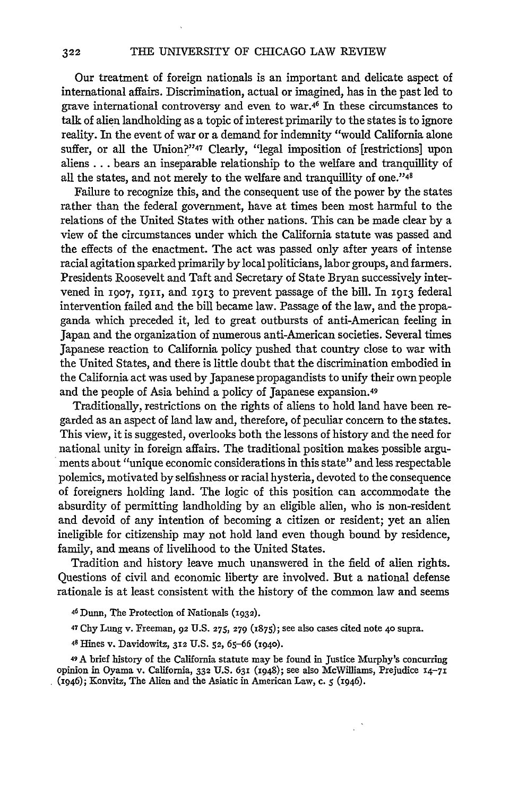Our treatment of foreign nationals is an important and delicate aspect of international affairs. Discrimination, actual or imagined, has in the past led to grave international controversy and even to war.46 In these circumstances to talk of alien landholding as a topic of interest primarily to the states is to ignore reality. In the event of war or a demand for indemnity "would California alone suffer, or all the Union?"47 Clearly, "legal imposition of [restrictions] upon aliens.., bears an inseparable relationship to the welfare and tranquillity of all the states, and not merely to the welfare and tranquillity of one."48

Failure to recognize this, and the consequent use of the power by the states rather than the federal government, have at times been most harmful to the relations of the United States with other nations. This can be made clear by a view of the circumstances under which the California statute was passed and the effects of the enactment. The act was passed only after years of intense racial agitation sparked primarily by local politicians, labor groups, and farmers. Presidents Roosevelt and Taft and Secretary of State Bryan successively intervened in **1907, 1911,** and **1913** to prevent passage of the bill. In **1913** federal intervention failed and the bill became law. Passage of the law, and the propaganda which preceded it, led to great outbursts of anti-American feeling in Japan and the organization of numerous anti-American societies. Several times Japanese reaction to California policy pushed that country close to war with the United States, and there is little doubt that the discrimination embodied in the California act was used by Japanese propagandists to unify their own people and the people of Asia behind a policy of Japanese expansion.49

Traditionally, restrictions on the rights of aliens to hold land have been regarded as an aspect of land law and, therefore, of peculiar concern to the states. This view, it is suggested, overlooks both the lessons of history and the need for national unity in foreign affairs. The traditional position makes possible arguments about "unique economic considerations in this state" and less respectable polemics, motivated by selfishness or racial hysteria, devoted to the consequence of foreigners holding land. The logic of this position can accommodate the absurdity of permitting landholding by an eligible alien, who is non-resident and devoid of any intention of becoming a citizen or resident; yet an alien ineligible for citizenship may not hold land even though bound by residence, family, and means of livelihood to the United States.

Tradition and history leave much unanswered in the field of alien rights. Questions of civil and economic liberty are involved. But a national defense rationale is at least consistent with the history of the common law and seems

46 Dunn, The Protection of Nationals (1932).

47 Chy Lung v. Freeman, 92 U.S. **275, 279 (1875);** see also cases cited note 4o supra.

48 Hines v. Davidowitz, 312 U.S. **52, 65-66** (I94o).

<sup>49</sup>A brief history of the California statute may be found in Justice Murphy's concurring opinion in Oyama v. California, **332** U.S. **631** (1948); see also McWilliams, Prejudice **14-71** (1946); Konvitz, The Alien and the Asiatic in American Law, c. **5** (1946).